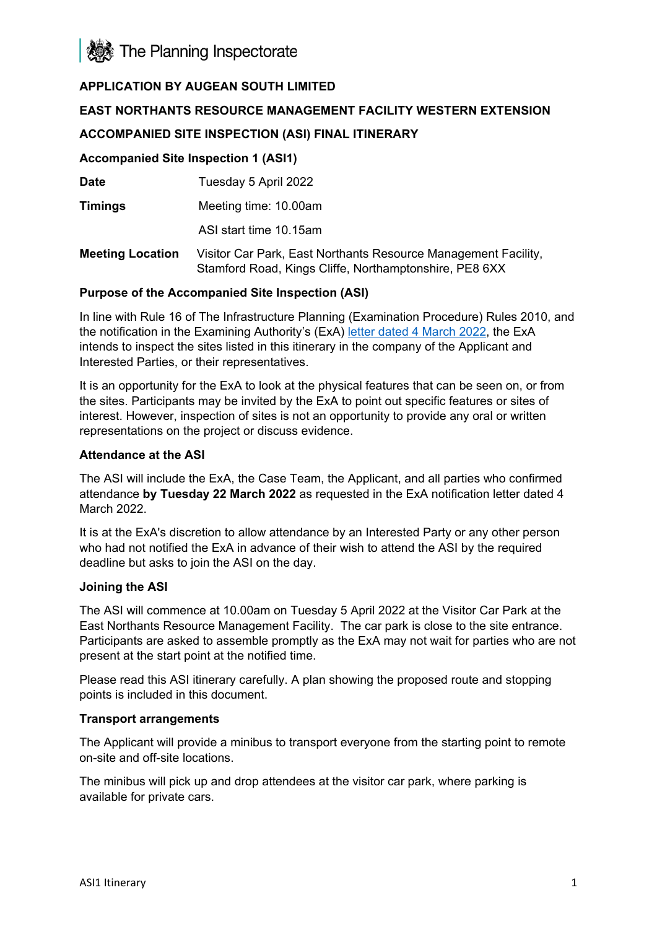

# **APPLICATION BY AUGEAN SOUTH LIMITED**

### **EAST NORTHANTS RESOURCE MANAGEMENT FACILITY WESTERN EXTENSION**

## **ACCOMPANIED SITE INSPECTION (ASI) FINAL ITINERARY**

#### **Accompanied Site Inspection 1 (ASI1)**

**Date** Tuesday 5 April 2022

**Timings** Meeting time: 10.00am

ASI start time 10.15am

**Meeting Location** Visitor Car Park, East Northants Resource Management Facility, Stamford Road, Kings Cliffe, Northamptonshire, PE8 6XX

#### **Purpose of the Accompanied Site Inspection (ASI)**

In line with Rule 16 of The Infrastructure Planning (Examination Procedure) Rules 2010, and the notification in the Examining Authority's (ExA) [letter dated 4 March 2022,](https://infrastructure.planninginspectorate.gov.uk/wp-content/ipc/uploads/projects/WS010005/WS010005-000475-ENRMFWE%20-%20Rule%2013%20and%2016%20Notification%20of%20Hearings%20and%20ASI%20letter%20final.pdf) the ExA intends to inspect the sites listed in this itinerary in the company of the Applicant and Interested Parties, or their representatives.

It is an opportunity for the ExA to look at the physical features that can be seen on, or from the sites. Participants may be invited by the ExA to point out specific features or sites of interest. However, inspection of sites is not an opportunity to provide any oral or written representations on the project or discuss evidence.

#### **Attendance at the ASI**

The ASI will include the ExA, the Case Team, the Applicant, and all parties who confirmed attendance **by Tuesday 22 March 2022** as requested in the ExA notification letter dated 4 March 2022.

It is at the ExA's discretion to allow attendance by an Interested Party or any other person who had not notified the ExA in advance of their wish to attend the ASI by the required deadline but asks to join the ASI on the day.

#### **Joining the ASI**

The ASI will commence at 10.00am on Tuesday 5 April 2022 at the Visitor Car Park at the East Northants Resource Management Facility. The car park is close to the site entrance. Participants are asked to assemble promptly as the ExA may not wait for parties who are not present at the start point at the notified time.

Please read this ASI itinerary carefully. A plan showing the proposed route and stopping points is included in this document.

#### **Transport arrangements**

The Applicant will provide a minibus to transport everyone from the starting point to remote on-site and off-site locations.

The minibus will pick up and drop attendees at the visitor car park, where parking is available for private cars.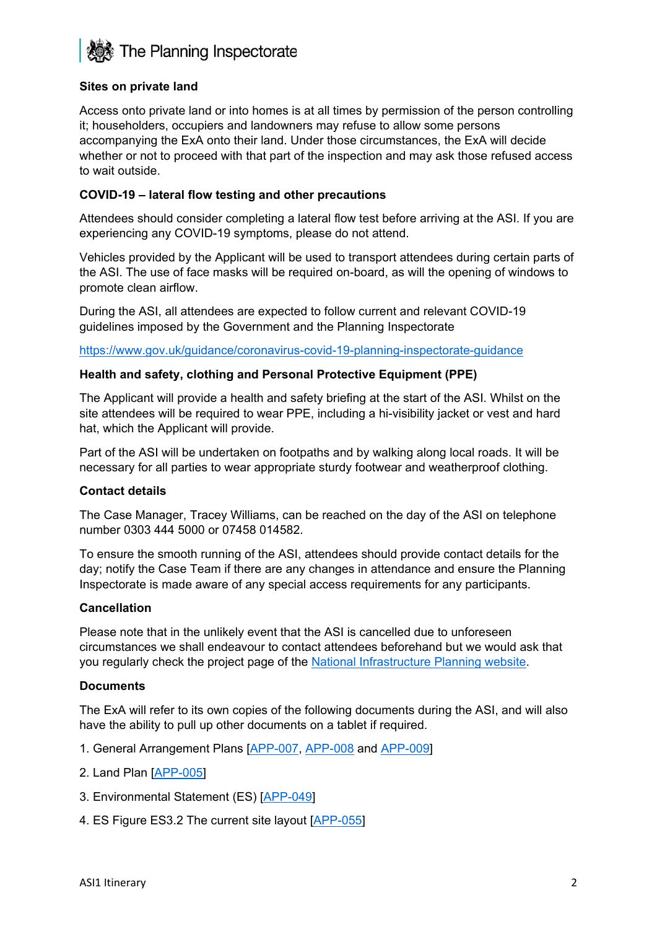

#### **Sites on private land**

Access onto private land or into homes is at all times by permission of the person controlling it; householders, occupiers and landowners may refuse to allow some persons accompanying the ExA onto their land. Under those circumstances, the ExA will decide whether or not to proceed with that part of the inspection and may ask those refused access to wait outside.

### **COVID-19 – lateral flow testing and other precautions**

Attendees should consider completing a lateral flow test before arriving at the ASI. If you are experiencing any COVID-19 symptoms, please do not attend.

Vehicles provided by the Applicant will be used to transport attendees during certain parts of the ASI. The use of face masks will be required on-board, as will the opening of windows to promote clean airflow.

During the ASI, all attendees are expected to follow current and relevant COVID-19 guidelines imposed by the Government and the Planning Inspectorate

<https://www.gov.uk/guidance/coronavirus-covid-19-planning-inspectorate-guidance>

#### **Health and safety, clothing and Personal Protective Equipment (PPE)**

The Applicant will provide a health and safety briefing at the start of the ASI. Whilst on the site attendees will be required to wear PPE, including a hi-visibility jacket or vest and hard hat, which the Applicant will provide.

Part of the ASI will be undertaken on footpaths and by walking along local roads. It will be necessary for all parties to wear appropriate sturdy footwear and weatherproof clothing.

#### **Contact details**

The Case Manager, Tracey Williams, can be reached on the day of the ASI on telephone number 0303 444 5000 or 07458 014582.

To ensure the smooth running of the ASI, attendees should provide contact details for the day; notify the Case Team if there are any changes in attendance and ensure the Planning Inspectorate is made aware of any special access requirements for any participants.

#### **Cancellation**

Please note that in the unlikely event that the ASI is cancelled due to unforeseen circumstances we shall endeavour to contact attendees beforehand but we would ask that you regularly check the project page of the [National Infrastructure Planning website.](https://infrastructure.planninginspectorate.gov.uk/projects/East%20Midlands/East-Northants-Resource-Management-Facility-Western-Extension/)

#### **Documents**

The ExA will refer to its own copies of the following documents during the ASI, and will also have the ability to pull up other documents on a tablet if required.

- 1. General Arrangement Plans [\[APP-007,](https://infrastructure.planninginspectorate.gov.uk/wp-content/ipc/uploads/projects/WS010005/WS010005-000275-2.4%20GA%20Plan%20Work%20No%201A%20and%20Work%20No%201B.pdf) [APP-008](https://infrastructure.planninginspectorate.gov.uk/wp-content/ipc/uploads/projects/WS010005/WS010005-000276-2.5%20GA%20Plan%20Work%20No%202.pdf) and [APP-009\]](https://infrastructure.planninginspectorate.gov.uk/wp-content/ipc/uploads/projects/WS010005/WS010005-000264-2.6%20GA%20Plan%20Work%20No%203.pdf)
- 2. Land Plan [\[APP-005\]](https://infrastructure.planninginspectorate.gov.uk/wp-content/ipc/uploads/projects/WS010005/WS010005-000273-2.2%20Land%20Plan.pdf)
- 3. Environmental Statement (ES) [\[APP-049\]](https://infrastructure.planninginspectorate.gov.uk/wp-content/ipc/uploads/projects/WS010005/WS010005-000301-5.2%20Environmental%20Statement.pdf)
- 4. ES Figure ES3.2 The current site layout [\[APP-055\]](https://infrastructure.planninginspectorate.gov.uk/wp-content/ipc/uploads/projects/WS010005/WS010005-000296-5.3.3.2%20Figure%20ES3.2%20The%20current%20site%20layout.pdf)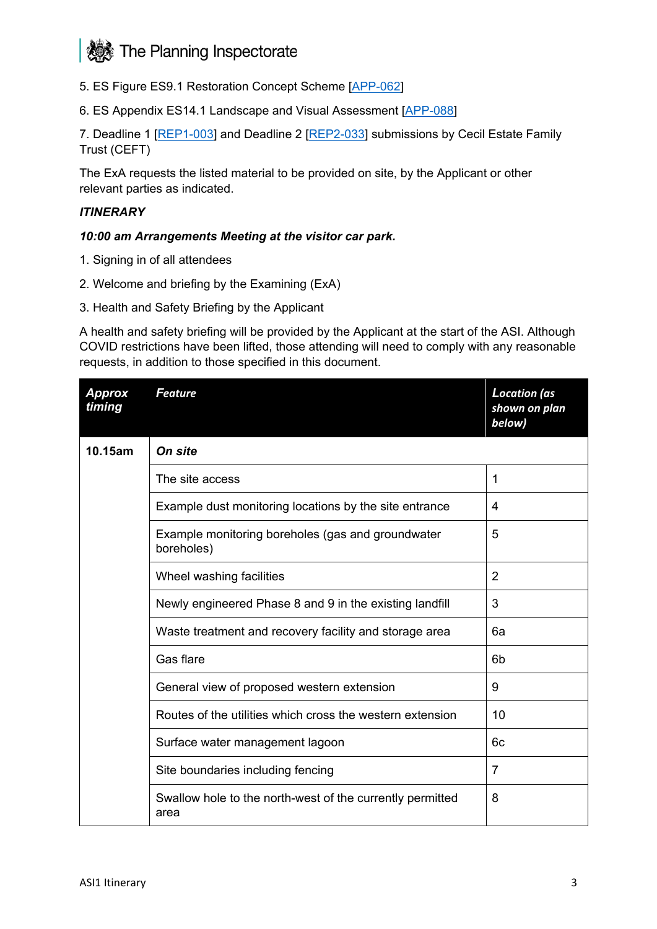# The Planning Inspectorate

- 5. ES Figure ES9.1 Restoration Concept Scheme [\[APP-062\]](https://infrastructure.planninginspectorate.gov.uk/wp-content/ipc/uploads/projects/WS010005/WS010005-000286-5.3.9.1%20Figure%20ES9.1%20Restoration%20Concept%20Scheme.pdf)
- 6. ES Appendix ES14.1 Landscape and Visual Assessment [\[APP-088\]](https://infrastructure.planninginspectorate.gov.uk/wp-content/ipc/uploads/projects/WS010005/WS010005-000315-5.4.14.1%20Appendix%20ES14.1%20Landscape%20and%20Visual%20Impact%20Assessment.pdf)

7. Deadline 1 [\[REP1-003\]](https://infrastructure.planninginspectorate.gov.uk/wp-content/ipc/uploads/projects/WS010005/WS010005-000464-John%20Bosworth%20-%20Deadline%201%20Submission%20-%20re%20Site%20Visit%20Locations.pdf) and Deadline 2 [\[REP2-033\]](https://infrastructure.planninginspectorate.gov.uk/wp-content/ipc/uploads/projects/WS010005/WS010005-000486-Maples%20Teesdale%20LLP%20-%20Written%20Representations.pdf) submissions by Cecil Estate Family Trust (CEFT)

The ExA requests the listed material to be provided on site, by the Applicant or other relevant parties as indicated.

#### *ITINERARY*

#### *10:00 am Arrangements Meeting at the visitor car park.*

- 1. Signing in of all attendees
- 2. Welcome and briefing by the Examining (ExA)
- 3. Health and Safety Briefing by the Applicant

A health and safety briefing will be provided by the Applicant at the start of the ASI. Although COVID restrictions have been lifted, those attending will need to comply with any reasonable requests, in addition to those specified in this document.

| <b>Approx</b><br>timing | <b>Feature</b>                                                    | <b>Location</b> (as<br>shown on plan<br>below) |
|-------------------------|-------------------------------------------------------------------|------------------------------------------------|
| 10.15am                 | On site                                                           |                                                |
|                         | The site access                                                   | 1                                              |
|                         | Example dust monitoring locations by the site entrance            | 4                                              |
|                         | Example monitoring boreholes (gas and groundwater<br>boreholes)   | 5                                              |
|                         | Wheel washing facilities                                          | $\overline{2}$                                 |
|                         | Newly engineered Phase 8 and 9 in the existing landfill           | 3                                              |
|                         | Waste treatment and recovery facility and storage area            | 6а                                             |
|                         | Gas flare                                                         | 6 <sub>b</sub>                                 |
|                         | General view of proposed western extension                        | 9                                              |
|                         | Routes of the utilities which cross the western extension         | 10                                             |
|                         | Surface water management lagoon                                   | 6c                                             |
|                         | Site boundaries including fencing                                 | $\overline{7}$                                 |
|                         | Swallow hole to the north-west of the currently permitted<br>area | 8                                              |